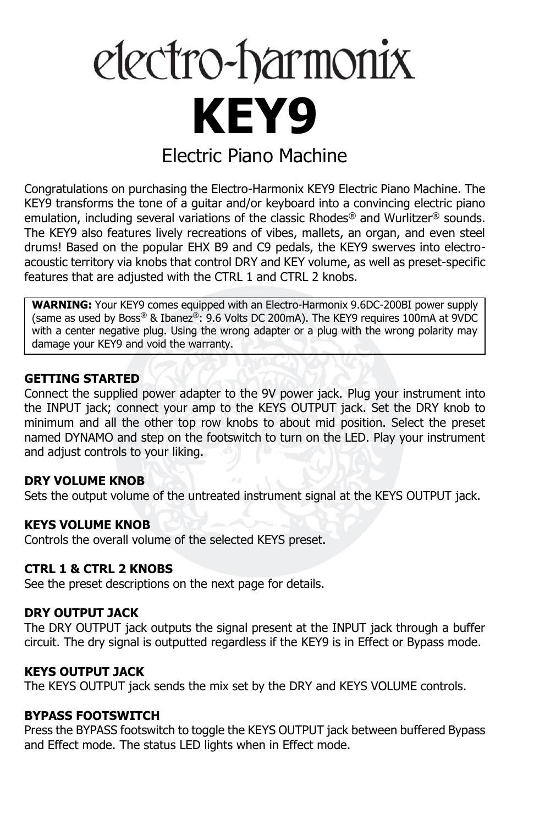# electro-harmonix **KEY9** Electric Piano Machine

Congratulations on purchasing the Electro-Harmonix KEY9 Electric Piano Machine. The KEY9 transforms the tone of a guitar and/or keyboard into a convincing electric piano emulation, including several variations of the classic Rhodes<sup>®</sup> and Wurlitzer<sup>®</sup> sounds. The KEY9 also features lively recreations of vibes, mallets, an organ, and even steel drums! Based on the popular EHX B9 and C9 pedals, the KEY9 swerves into electroacoustic territory via knobs that control DRY and KEY volume, as well as preset-specific features that are adjusted with the CTRL 1 and CTRL 2 knobs.

**WARNING:** Your KEY9 comes equipped with an Electro-Harmonix 9.6DC-200BI power supply (same as used by Boss® & Ibanez®: 9.6 Volts DC 200mA). The KEY9 requires 100mA at 9VDC with a center negative plug. Using the wrong adapter or a plug with the wrong polarity may damage your KEY9 and void the warranty.

#### **GETTING STARTED**

Connect the supplied power adapter to the 9V power jack. Plug your instrument into the INPUT jack; connect your amp to the KEYS OUTPUT jack. Set the DRY knob to minimum and all the other top row knobs to about mid position. Select the preset named DYNAMO and step on the footswitch to turn on the LED. Play your instrument and adjust controls to your liking.

#### **DRY VOLUME KNOB**

Sets the output volume of the untreated instrument signal at the KEYS OUTPUT jack.

#### **KEYS VOLUME KNOB**

Controls the overall volume of the selected KEYS preset.

## **CTRL 1 & CTRL 2 KNOBS**

See the preset descriptions on the next page for details.

#### **DRY OUTPUT JACK**

The DRY OUTPUT jack outputs the signal present at the INPUT jack through a buffer circuit. The dry signal is outputted regardless if the KEY9 is in Effect or Bypass mode.

#### **KEYS OUTPUT JACK**

The KEYS OUTPUT jack sends the mix set by the DRY and KEYS VOLUME controls.

#### **BYPASS FOOTSWITCH**

Press the BYPASS footswitch to toggle the KEYS OUTPUT jack between buffered Bypass and Effect mode. The status LED lights when in Effect mode.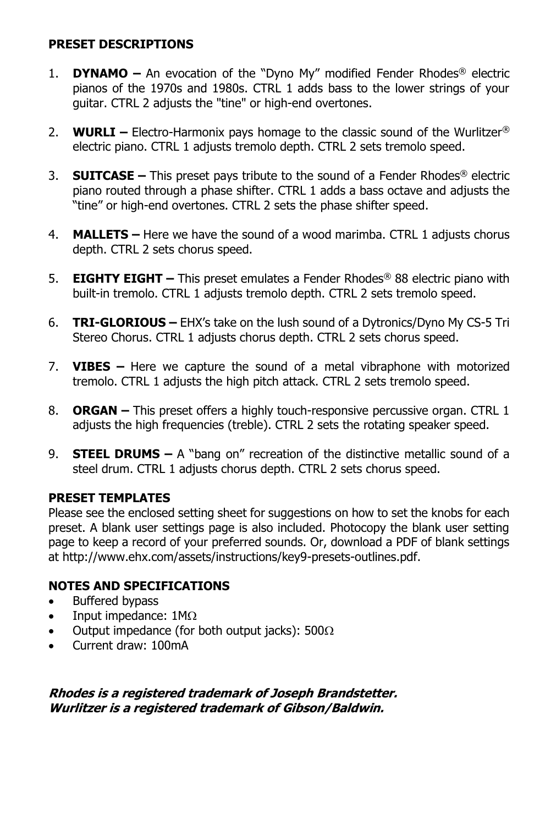## **PRESET DESCRIPTIONS**

- 1. **DYNAMO –** An evocation of the "Dyno My" modified Fender Rhodes® electric pianos of the 1970s and 1980s. CTRL 1 adds bass to the lower strings of your guitar. CTRL 2 adjusts the "tine" or high-end overtones.
- 2. **WURLI –** Electro-Harmonix pays homage to the classic sound of the Wurlitzer® electric piano. CTRL 1 adjusts tremolo depth. CTRL 2 sets tremolo speed.
- 3. **SUITCASE –** This preset pays tribute to the sound of a Fender Rhodes® electric piano routed through a phase shifter. CTRL 1 adds a bass octave and adjusts the "tine" or high-end overtones. CTRL 2 sets the phase shifter speed.
- 4. **MALLETS –** Here we have the sound of a wood marimba. CTRL 1 adjusts chorus depth. CTRL 2 sets chorus speed.
- 5. **EIGHTY EIGHT –** This preset emulates a Fender Rhodes® 88 electric piano with built-in tremolo. CTRL 1 adjusts tremolo depth. CTRL 2 sets tremolo speed.
- 6. **TRI-GLORIOUS –** EHX's take on the lush sound of a Dytronics/Dyno My CS-5 Tri Stereo Chorus. CTRL 1 adjusts chorus depth. CTRL 2 sets chorus speed.
- 7. **VIBES –** Here we capture the sound of a metal vibraphone with motorized tremolo. CTRL 1 adjusts the high pitch attack. CTRL 2 sets tremolo speed.
- 8. **ORGAN –** This preset offers a highly touch-responsive percussive organ. CTRL 1 adjusts the high frequencies (treble). CTRL 2 sets the rotating speaker speed.
- 9. **STEEL DRUMS –** A "bang on" recreation of the distinctive metallic sound of a steel drum. CTRL 1 adjusts chorus depth. CTRL 2 sets chorus speed.

## **PRESET TEMPLATES**

Please see the enclosed setting sheet for suggestions on how to set the knobs for each preset. A blank user settings page is also included. Photocopy the blank user setting page to keep a record of your preferred sounds. Or, download a PDF of blank settings at http://www.ehx.com/assets/instructions/key9-presets-outlines.pdf.

## **NOTES AND SPECIFICATIONS**

- Buffered bypass
- Input impedance:  $1M\Omega$
- Output impedance (for both output jacks):  $500\Omega$
- Current draw: 100mA

**Rhodes is a registered trademark of Joseph Brandstetter. Wurlitzer is a registered trademark of Gibson/Baldwin.**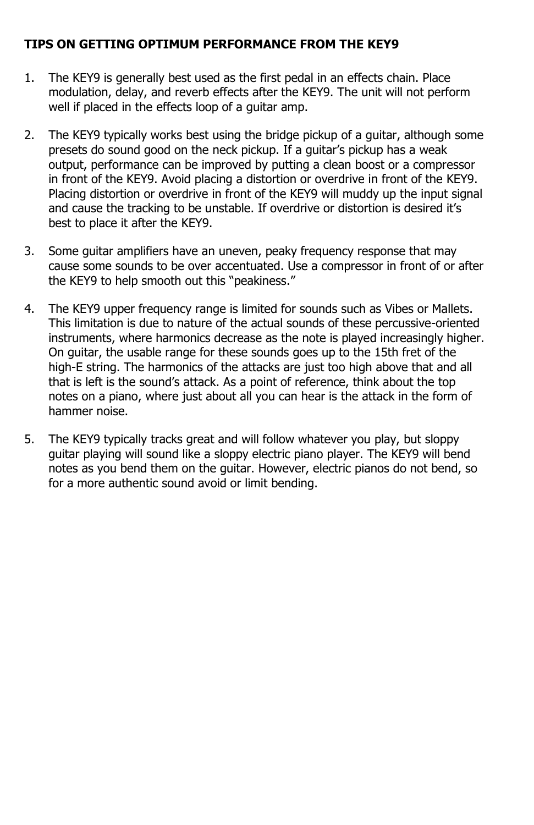## **TIPS ON GETTING OPTIMUM PERFORMANCE FROM THE KEY9**

- 1. The KEY9 is generally best used as the first pedal in an effects chain. Place modulation, delay, and reverb effects after the KEY9. The unit will not perform well if placed in the effects loop of a guitar amp.
- 2. The KEY9 typically works best using the bridge pickup of a guitar, although some presets do sound good on the neck pickup. If a guitar's pickup has a weak output, performance can be improved by putting a clean boost or a compressor in front of the KEY9. Avoid placing a distortion or overdrive in front of the KEY9. Placing distortion or overdrive in front of the KEY9 will muddy up the input signal and cause the tracking to be unstable. If overdrive or distortion is desired it's best to place it after the KEY9.
- 3. Some guitar amplifiers have an uneven, peaky frequency response that may cause some sounds to be over accentuated. Use a compressor in front of or after the KEY9 to help smooth out this "peakiness."
- 4. The KEY9 upper frequency range is limited for sounds such as Vibes or Mallets. This limitation is due to nature of the actual sounds of these percussive-oriented instruments, where harmonics decrease as the note is played increasingly higher. On guitar, the usable range for these sounds goes up to the 15th fret of the high-E string. The harmonics of the attacks are just too high above that and all that is left is the sound's attack. As a point of reference, think about the top notes on a piano, where just about all you can hear is the attack in the form of hammer noise.
- 5. The KEY9 typically tracks great and will follow whatever you play, but sloppy guitar playing will sound like a sloppy electric piano player. The KEY9 will bend notes as you bend them on the guitar. However, electric pianos do not bend, so for a more authentic sound avoid or limit bending.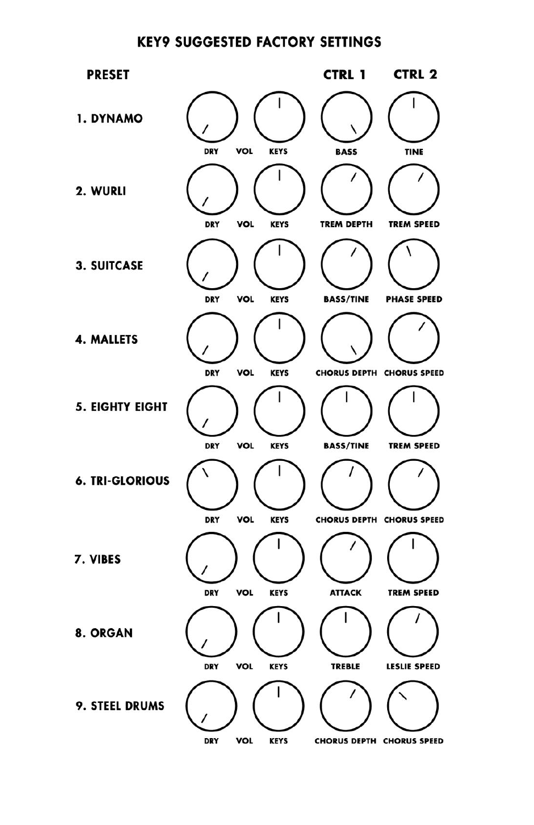## **KEY9 SUGGESTED FACTORY SETTINGS**

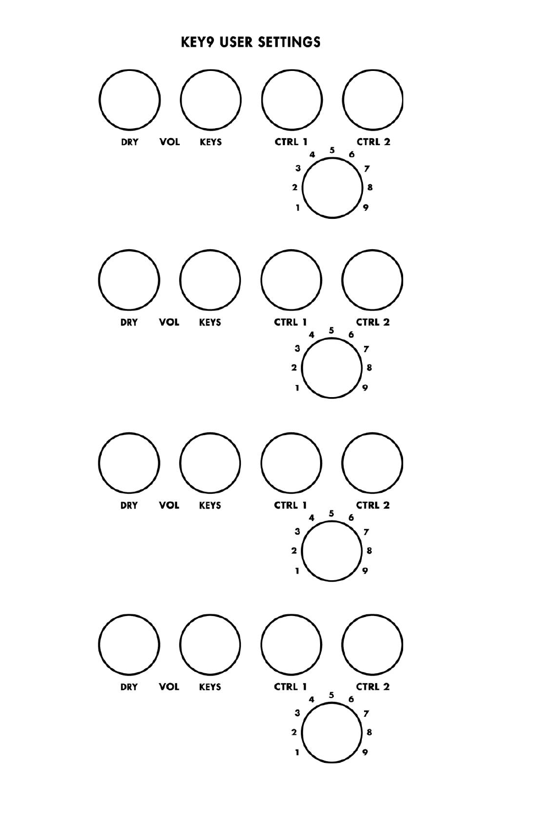## **KEY9 USER SETTINGS**